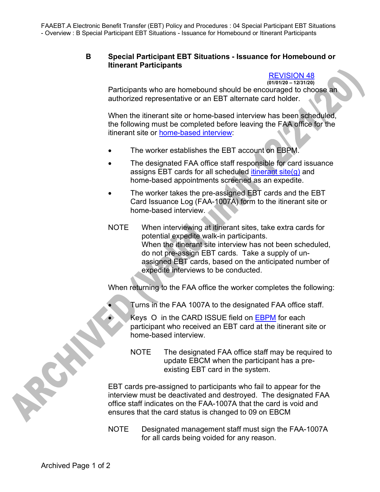FAAEBT.A Electronic Benefit Transfer (EBT) Policy and Procedures : 04 Special Participant EBT Situations - Overview : B Special Participant EBT Situations - Issuance for Homebound or Itinerant Participants

## **B Special Participant EBT Situations - Issuance for Homebound or Itinerant Participants**

## REVISION 48 **(01/01/20 – 12/31/20)**

Participants who are homebound should be encouraged to choose an authorized representative or an EBT alternate card holder.

When the itinerant site or home-based interview has been scheduled, the following must be completed before leaving the FAA office for the itinerant site or home-based interview:

- The worker establishes the EBT account on EBPM.
- The designated FAA office staff responsible for card issuance assigns EBT cards for all scheduled itinerant site $(q)$  and home-based appointments screened as an expedite.
- The worker takes the pre-assigned EBT cards and the EBT Card Issuance Log (FAA-1007A) form to the itinerant site or home-based interview.
- NOTE When interviewing at itinerant sites, take extra cards for potential expedite walk-in participants. When the itinerant site interview has not been scheduled, do not pre-assign EBT cards. Take a supply of unassigned EBT cards, based on the anticipated number of expedite interviews to be conducted.

When returning to the FAA office the worker completes the following:

• Turns in the FAA 1007A to the designated FAA office staff.

Keys O in the CARD ISSUE field on EBPM for each participant who received an EBT card at the itinerant site or home-based interview.

NOTE The designated FAA office staff may be required to update EBCM when the participant has a preexisting EBT card in the system.

EBT cards pre-assigned to participants who fail to appear for the interview must be deactivated and destroyed. The designated FAA office staff indicates on the FAA-1007A that the card is void and ensures that the card status is changed to 09 on EBCM

NOTE Designated management staff must sign the FAA-1007A for all cards being voided for any reason.